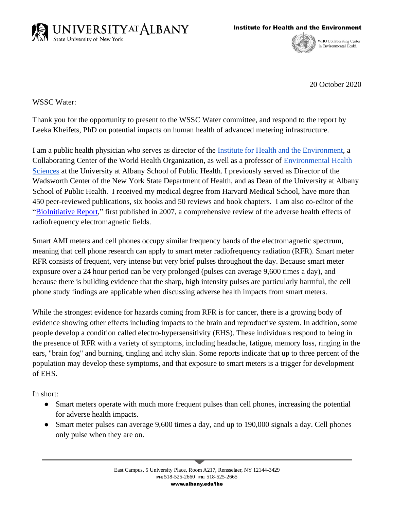



WHO Collaborating Center in Environmental Health

20 October 2020

WSSC Water:

Thank you for the opportunity to present to the WSSC Water committee, and respond to the report by Leeka Kheifets, PhD on potential impacts on human health of advanced metering infrastructure.

I am a public health physician who serves as director of the [Institute for Health and the Environment,](https://www.albany.edu/ihe/) a Collaborating Center of the World Health Organization, as well as a professor of [Environmental](https://www.albany.edu/sph/ehs.php) Health [Sciences](https://www.albany.edu/sph/ehs.php) at the University at Albany School of Public Health. I previously served as Director of the Wadsworth Center of the New York State Department of Health, and as Dean of the University at Albany School of Public Health. I received my medical degree from Harvard Medical School, have more than 450 peer-reviewed publications, six books and 50 reviews and book chapters. I am also co-editor of the ["BioInitiative Report,](https://bioinitiative.org/)" first published in 2007, a comprehensive review of the adverse health effects of radiofrequency electromagnetic fields.

Smart AMI meters and cell phones occupy similar frequency bands of the electromagnetic spectrum, meaning that cell phone research can apply to smart meter radiofrequency radiation (RFR). Smart meter RFR consists of frequent, very intense but very brief pulses throughout the day. Because smart meter exposure over a 24 hour period can be very prolonged (pulses can average 9,600 times a day), and because there is building evidence that the sharp, high intensity pulses are particularly harmful, the cell phone study findings are applicable when discussing adverse health impacts from smart meters.

While the strongest evidence for hazards coming from RFR is for cancer, there is a growing body of evidence showing other effects including impacts to the brain and reproductive system. In addition, some people develop a condition called electro-hypersensitivity (EHS). These individuals respond to being in the presence of RFR with a variety of symptoms, including headache, fatigue, memory loss, ringing in the ears, "brain fog" and burning, tingling and itchy skin. Some reports indicate that up to three percent of the population may develop these symptoms, and that exposure to smart meters is a trigger for development of EHS.

In short:

- Smart meters operate with much more frequent pulses than cell phones, increasing the potential for adverse health impacts.
- Smart meter pulses can average 9,600 times a day, and up to 190,000 signals a day. Cell phones only pulse when they are on.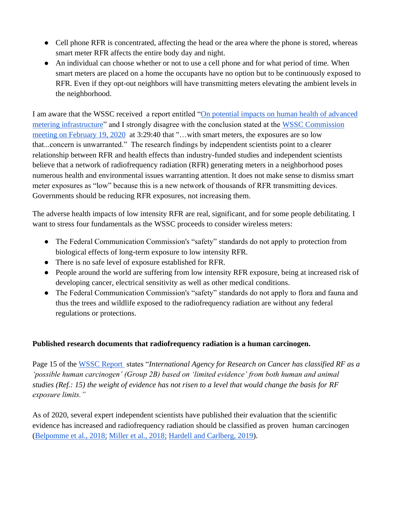- Cell phone RFR is concentrated, affecting the head or the area where the phone is stored, whereas smart meter RFR affects the entire body day and night.
- An individual can choose whether or not to use a cell phone and for what period of time. When smart meters are placed on a home the occupants have no option but to be continuously exposed to RFR. Even if they opt-out neighbors will have transmitting meters elevating the ambient levels in the neighborhood.

I am aware that the WSSC received a report entitled ["On potential impacts on human health of advanced](https://www.wsscwater.com/files/live/sites/wssc/files/ami/Final%20RF%20Report.pdf)  [metering infrastructure"](https://www.wsscwater.com/files/live/sites/wssc/files/ami/Final%20RF%20Report.pdf) and I strongly disagree with the conclusion stated at the WSSC Commission [meeting on February 19, 2020](https://wsscwater.granicus.com/player/clip/534?view_id=2&redirect=true) at 3:29:40 that "…with smart meters, the exposures are so low that...concern is unwarranted." The research findings by independent scientists point to a clearer relationship between RFR and health effects than industry-funded studies and independent scientists believe that a network of radiofrequency radiation (RFR) generating meters in a neighborhood poses numerous health and environmental issues warranting attention. It does not make sense to dismiss smart meter exposures as "low" because this is a new network of thousands of RFR transmitting devices. Governments should be reducing RFR exposures, not increasing them.

The adverse health impacts of low intensity RFR are real, significant, and for some people debilitating. I want to stress four fundamentals as the WSSC proceeds to consider wireless meters:

- The Federal Communication Commission's "safety" standards do not apply to protection from biological effects of long-term exposure to low intensity RFR.
- There is no safe level of exposure established for RFR.
- People around the world are suffering from low intensity RFR exposure, being at increased risk of developing cancer, electrical sensitivity as well as other medical conditions.
- The Federal Communication Commission's "safety" standards do not apply to flora and fauna and thus the trees and wildlife exposed to the radiofrequency radiation are without any federal regulations or protections.

### **Published research documents that radiofrequency radiation is a human carcinogen.**

Page 15 of the [WSSC Report](https://www.wsscwater.com/files/live/sites/wssc/files/ami/Final%20RF%20Report.pdf) states "*International Agency for Research on Cancer has classified RF as a 'possible human carcinogen' (Group 2B) based on 'limited evidence' from both human and animal studies (Ref.: 15) the weight of evidence has not risen to a level that would change the basis for RF exposure limits."* 

As of 2020, several expert independent scientists have published their evaluation that the scientific evidence has increased and radiofrequency radiation should be classified as proven human carcinogen [\(Belpomme et al., 2018;](https://pubmed.ncbi.nlm.nih.gov/30025338/) [Miller et al., 2018;](https://www.sciencedirect.com/science/article/abs/pii/S0013935118303475?via%3Dihub) [Hardell and Carlberg,](https://www.ncbi.nlm.nih.gov/pubmed/30365129) 2019).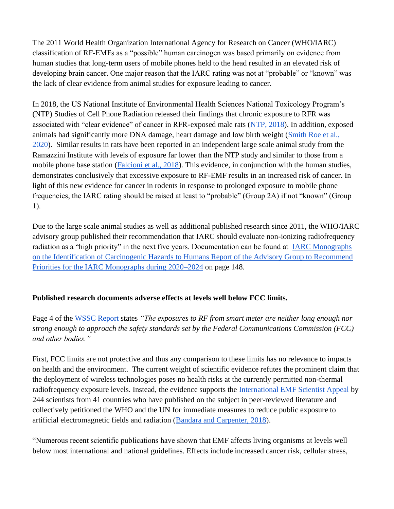The 2011 World Health Organization International Agency for Research on Cancer (WHO/IARC) classification of RF-EMFs as a "possible" human carcinogen was based primarily on evidence from human studies that long-term users of mobile phones held to the head resulted in an elevated risk of developing brain cancer. One major reason that the IARC rating was not at "probable" or "known" was the lack of clear evidence from animal studies for exposure leading to cancer.

In 2018, the US National Institute of Environmental Health Sciences National Toxicology Program's (NTP) Studies of Cell Phone Radiation released their findings that chronic exposure to RFR was associated with "clear evidence" of cancer in RFR-exposed male rats [\(NTP, 2018\)](https://ntp.niehs.nih.gov/go/cellphone). In addition, exposed animals had significantly more DNA damage, heart damage and low birth weight [\(Smith Roe et al.,](https://pubmed.ncbi.nlm.nih.gov/31633839/)  [2020\)](https://pubmed.ncbi.nlm.nih.gov/31633839/). Similar results in rats have been reported in an independent large scale animal study from the Ramazzini Institute with levels of exposure far lower than the NTP study and similar to those from a mobile phone base station [\(Falcioni et al., 2018\)](https://www.sciencedirect.com/science/article/pii/S0013935118300367?via%3Dihub). This evidence, in conjunction with the human studies, demonstrates conclusively that excessive exposure to RF-EMF results in an increased risk of cancer. In light of this new evidence for cancer in rodents in response to prolonged exposure to mobile phone frequencies, the IARC rating should be raised at least to "probable" (Group 2A) if not "known" (Group 1).

Due to the large scale animal studies as well as additional published research since 2011, the WHO/IARC advisory group published their recommendation that IARC should evaluate non-ionizing radiofrequency radiation as a "high priority" in the next five years. Documentation can be found at **IARC** Monographs [on the Identification of Carcinogenic Hazards to Humans Report of the Advisory Group to Recommend](https://monographs.iarc.fr/wp-content/uploads/2019/10/IARCMonographs-AGReport-Priorities_2020-2024.pdf)  [Priorities for the IARC Monographs during 2020–2024](https://monographs.iarc.fr/wp-content/uploads/2019/10/IARCMonographs-AGReport-Priorities_2020-2024.pdf) on page 148.

#### **Published research documents adverse effects at levels well below FCC limits.**

Page 4 of the [WSSC Report s](https://www.wsscwater.com/files/live/sites/wssc/files/ami/Final%20RF%20Report.pdf)tates *"The exposures to RF from smart meter are neither long enough nor strong enough to approach the safety standards set by the Federal Communications Commission (FCC) and other bodies."* 

First, FCC limits are not protective and thus any comparison to these limits has no relevance to impacts on health and the environment. The current weight of scientific evidence refutes the prominent claim that the deployment of wireless technologies poses no health risks at the currently permitted non-thermal radiofrequency exposure levels. Instead, the evidence supports the [International EMF Scientist Appeal](http://www.emfscientist.org/) by 244 scientists from 41 countries who have published on the subject in peer-reviewed literature and collectively petitioned the WHO and the UN for immediate measures to reduce public exposure to artificial electromagnetic fields and radiation [\(Bandara and Carpenter, 2018\)](https://www.sciencedirect.com/science/article/pii/S2542519618302213?via%3Dihub).

"Numerous recent scientific publications have shown that EMF affects living organisms at levels well below most international and national guidelines. Effects include increased cancer risk, cellular stress,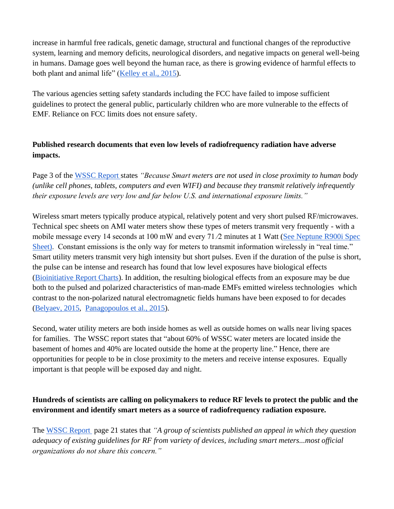increase in harmful free radicals, genetic damage, structural and functional changes of the reproductive system, learning and memory deficits, neurological disorders, and negative impacts on general well-being in humans. Damage goes well beyond the human race, as there is growing evidence of harmful effects to both plant and animal life" [\(Kelley et al., 2015\)](https://www.researchgate.net/publication/298533689_International_Appeal_Scientists_call_for_protection_from_non-ionizing_electromagnetic_field_exposure).

The various agencies setting safety standards including the FCC have failed to impose sufficient guidelines to protect the general public, particularly children who are more vulnerable to the effects of EMF. Reliance on FCC limits does not ensure safety.

# **Published research documents that even low levels of radiofrequency radiation have adverse impacts.**

Page 3 of the [WSSC Report s](https://www.wsscwater.com/files/live/sites/wssc/files/ami/Final%20RF%20Report.pdf)tates *"Because Smart meters are not used in close proximity to human body (unlike cell phones, tablets, computers and even WIFI) and because they transmit relatively infrequently their exposure levels are very low and far below U.S. and international exposure limits."* 

Wireless smart meters typically produce atypical, relatively potent and very short pulsed RF/microwaves. Technical spec sheets on AMI water meters show these types of meters transmit very frequently - with a mobile message every 14 seconds at 100 mW and every 71/2 minutes at 1 Watt (See Neptune R900i Spec [Sheet\).](https://www.neptunetg.com/globalassets/products/literature/20-004306-ps-e-coderr900i-03.20.pdf) Constant emissions is the only way for meters to transmit information wirelessly in "real time." Smart utility meters transmit very high intensity but short pulses. Even if the duration of the pulse is short, the pulse can be intense and research has found that low level exposures have biological effects [\(Bioinitiative Report Charts\)](https://bioinitiative.org/rf-color-charts/). In addition, the resulting biological effects from an exposure may be due both to the pulsed and polarized characteristics of man-made EMFs emitted wireless technologies which contrast to the non-polarized natural electromagnetic fields humans have been exposed to for decades [\(Belyaev, 2015,](https://www.taylorfrancis.com/books/9780429189692/chapters/10.1201/b18148-9) [Panagopoulos et al., 2015\)](https://pubmed.ncbi.nlm.nih.gov/26456585/).

Second, water utility meters are both inside homes as well as outside homes on walls near living spaces for families. The WSSC report states that "about 60% of WSSC water meters are located inside the basement of homes and 40% are located outside the home at the property line." Hence, there are opportunities for people to be in close proximity to the meters and receive intense exposures. Equally important is that people will be exposed day and night.

### **Hundreds of scientists are calling on policymakers to reduce RF levels to protect the public and the environment and identify smart meters as a source of radiofrequency radiation exposure.**

The [WSSC Report](https://www.wsscwater.com/files/live/sites/wssc/files/ami/Final%20RF%20Report.pdf) page 21 states that *"A group of scientists published an appeal in which they question adequacy of existing guidelines for RF from variety of devices, including smart meters...most official organizations do not share this concern."*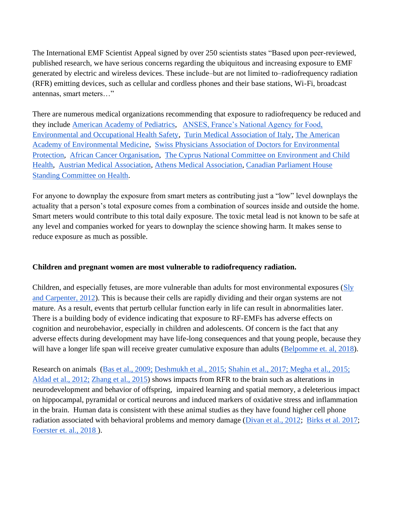The International EMF Scientist Appeal signed by over 250 scientists states "Based upon peer-reviewed, published research, we have serious concerns regarding the ubiquitous and increasing exposure to EMF generated by electric and wireless devices. These include–but are not limited to–radiofrequency radiation (RFR) emitting devices, such as cellular and cordless phones and their base stations, Wi-Fi, broadcast antennas, smart meters…"

There are numerous medical organizations recommending that exposure to radiofrequency be reduced and they include [American Academy of Pediatrics,](https://ehtrust.org/wp-content/uploads/American-Academy-of-Pediatrics-Letters-to-FCC-and-Congress-.pdf) [ANSES, France's National Agency for Food,](https://www.anses.fr/en/content/anses-issues-recommendations-limiting-exposure-radiofrequencies)  [Environmental and Occupational Health Safety,](https://www.anses.fr/en/content/anses-issues-recommendations-limiting-exposure-radiofrequencies) [Turin Medical Association of Italy,](https://www.radical-bio.com/sanita/lordine-dei-medici-di-torino-legge-irradiazione-5g/) [The American](https://www.aaemonline.org/pdf/AAEMEMFmedicalconditions.pdf)  [Academy of Environmental Medicine,](https://www.aaemonline.org/pdf/AAEMEMFmedicalconditions.pdf) [Swiss Physicians Association of Doctors for Environmental](http://www.aefu.ch/fileadmin/user_upload/aefu-data/b_documents/Aktuell/V_140718_NISSG.pdf)  [Protection,](http://www.aefu.ch/fileadmin/user_upload/aefu-data/b_documents/Aktuell/V_140718_NISSG.pdf) [African Cancer Organisation,](https://www.ghanaweb.com/GhanaHomePage/NewsArchive/Keep-children-away-from-mobile-phones-to-prevent-cancer-ACO-867937) [The Cyprus National Committee on Environment and Child](http://paidi.com.cy/)  [Health,](http://paidi.com.cy/) [Austrian Medical Association,](https://ehtrust.org/wp-content/uploads/PosStat-eng_sign-RUL-1.pdf) [Athens Medical Association,](https://www.isathens.gr/syndikal/6743-imerida-ilektromagnitiki-aktinovolia.html) [Canadian Parliament House](https://www.ourcommons.ca/DocumentViewer/en/41-2/HESA/report-13)  [Standing Committee on Health.](https://www.ourcommons.ca/DocumentViewer/en/41-2/HESA/report-13)

For anyone to downplay the exposure from smart meters as contributing just a "low" level downplays the actuality that a person's total exposure comes from a combination of sources inside and outside the home. Smart meters would contribute to this total daily exposure. The toxic metal lead is not known to be safe at any level and companies worked for years to downplay the science showing harm. It makes sense to reduce exposure as much as possible.

#### **Children and pregnant women are most vulnerable to radiofrequency radiation.**

Children, and especially fetuses, are more vulnerable than adults for most environmental exposures [\(Sly](https://pubmed.ncbi.nlm.nih.gov/23095179/)  [and Carpenter, 2012\)](https://pubmed.ncbi.nlm.nih.gov/23095179/). This is because their cells are rapidly dividing and their organ systems are not mature. As a result, events that perturb cellular function early in life can result in abnormalities later. There is a building body of evidence indicating that exposure to RF-EMFs has adverse effects on cognition and neurobehavior, especially in children and adolescents. Of concern is the fact that any adverse effects during development may have life-long consequences and that young people, because they will have a longer life span will receive greater cumulative exposure than adults [\(Belpomme et. al, 2018\)](https://pubmed.ncbi.nlm.nih.gov/30025338/).

Research on animals (Bas et al., 2009; [Deshmukh et al., 2015;](https://pubmed.ncbi.nlm.nih.gov/25749756/) [Shahin et al., 2017;](https://pubmed.ncbi.nlm.nih.gov/29069439/) [Megha et al., 2015;](https://pubmed.ncbi.nlm.nih.gov/26511840/) [Aldad et al., 2012;](https://www.ncbi.nlm.nih.gov/pmc/articles/PMC3306017/) [Zhang et al., 2015\)](https://pubmed.ncbi.nlm.nih.gov/25359903/) shows impacts from RFR to the brain such as alterations in neurodevelopment and behavior of offspring, impaired learning and spatial memory, a deleterious impact on hippocampal, pyramidal or cortical neurons and induced markers of oxidative stress and inflammation in the brain. Human data is consistent with these animal studies as they have found higher cell phone radiation associated with behavioral problems and memory damage [\(Divan et al., 2012;](https://pubmed.ncbi.nlm.nih.gov/21138897/) [Birks et al. 2017;](https://www.ncbi.nlm.nih.gov/pmc/articles/PMC5506372/) [Foerster et. al., 2018 \)](https://ehp.niehs.nih.gov/doi/10.1289/EHP2427).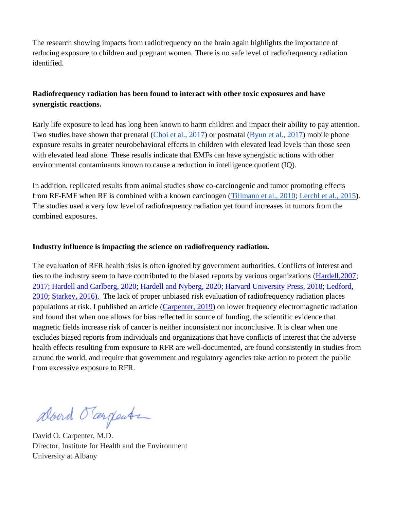The research showing impacts from radiofrequency on the brain again highlights the importance of reducing exposure to children and pregnant women. There is no safe level of radiofrequency radiation identified.

## **Radiofrequency radiation has been found to interact with other toxic exposures and have synergistic reactions.**

Early life exposure to lead has long been known to harm children and impact their ability to pay attention. Two studies have shown that prenatal [\(Choi et al., 2017\)](https://www.sciencedirect.com/science/article/pii/S0013935117302372) or postnatal [\(Byun et al., 2017\)](http://www.plosone.org/article/info%3Adoi%2F10.1371%2Fjournal.pone.0059742) mobile phone exposure results in greater neurobehavioral effects in children with elevated lead levels than those seen with elevated lead alone. These results indicate that EMFs can have synergistic actions with other environmental contaminants known to cause a reduction in intelligence quotient (IQ).

In addition, replicated results from animal studies show co-carcinogenic and tumor promoting effects from RF-EMF when RF is combined with a known carcinogen [\(Tillmann et al., 2010;](https://pubmed.ncbi.nlm.nih.gov/20545575/) [Lerchl et al., 2015\)](https://www.sciencedirect.com/science/article/pii/S0006291X15003988). The studies used a very low level of radiofrequency radiation yet found increases in tumors from the combined exposures.

#### **Industry influence is impacting the science on radiofrequency radiation.**

The evaluation of RFR health risks is often ignored by government authorities. Conflicts of interest and ties to the industry seem to have contributed to the biased reports by various organizations [\(Hardell,2007;](http://mobilfunk-debatte.de/pdf/Mobilfunk_Politik/Hardellsecret_ties.pdf) [2017;](https://www.ncbi.nlm.nih.gov/pmc/articles/PMC5504984/) [Hardell and Carlberg, 2020;](https://www.ncbi.nlm.nih.gov/pmc/articles/PMC7405337/?fbclid=IwAR1RzQ9Icryjda5grWZfnlNQQBlTw0zRc0mk1OcXz73zPHvL1NIFDcoBJ10) [Hardell and Nyberg, 2020;](https://www.ncbi.nlm.nih.gov/pmc/articles/PMC7016513/) [Harvard University Press, 2018;](https://ethics.harvard.edu/files/center-for-ethics/files/capturedagency_alster.pdf) [Ledford,](http://www.ipsonet.org/proceedings/wp-content/uploads/2012/07/Proceedings-of-the-PSO-New-Series-no.-11.pdf)  [2010;](http://www.ipsonet.org/proceedings/wp-content/uploads/2012/07/Proceedings-of-the-PSO-New-Series-no.-11.pdf) [Starkey, 2016\).](https://pubmed.ncbi.nlm.nih.gov/27902455/) The lack of proper unbiased risk evaluation of radiofrequency radiation places populations at risk. I published an article [\(Carpenter, 2019\)](https://pubmed.ncbi.nlm.nih.gov/31476684/) on lower frequency electromagnetic radiation and found that when one allows for bias reflected in source of funding, the scientific evidence that magnetic fields increase risk of cancer is neither inconsistent nor inconclusive. It is clear when one excludes biased reports from individuals and organizations that have conflicts of interest that the adverse health effects resulting from exposure to RFR are well-documented, are found consistently in studies from around the world, and require that government and regulatory agencies take action to protect the public from excessive exposure to RFR.

abound Tangente

David O. Carpenter, M.D. Director, Institute for Health and the Environment University at Albany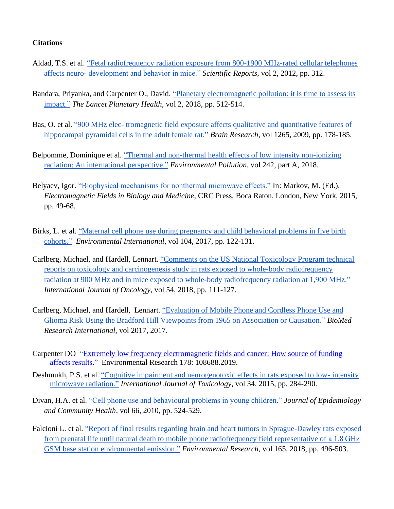#### **Citations**

- Aldad, T.S. et al. ["Fetal radiofrequency radiation exposure from 800-1900 MHz-rated cellular telephones](https://www.ncbi.nlm.nih.gov/pmc/articles/PMC3306017/)  affects neuro- [development and behavior in mice."](https://www.ncbi.nlm.nih.gov/pmc/articles/PMC3306017/) *[S](https://www.ncbi.nlm.nih.gov/pmc/articles/PMC3306017/)cientific Reports*, vol 2, 2012, pp. 312.
- Bandara, Priyanka, and Carpenter O., David. "Planetary electromagnetic pollution: it is time to assess its [impact.](https://www.sciencedirect.com/science/article/pii/S2542519618302213?via%3Dihub)" *The Lancet Planetary Health*, vol 2, 2018, pp. 512-514.
- Bas, O. et al. "900 MHz elec- tromagnetic [field exposure affects qualitative and quantitative features of](https://pubmed.ncbi.nlm.nih.gov/19230827/)  [hippocampal pyramidal cells in the adult female rat."](https://pubmed.ncbi.nlm.nih.gov/19230827/) *Brain Research*, vol 1265, 2009, pp. 178-185.
- Belpomme, Dominique et al. ["Thermal and non-thermal health effects of low intensity non-ionizing](https://www.ncbi.nlm.nih.gov/pubmed/30025338)  [radiation: An international perspective.](https://www.ncbi.nlm.nih.gov/pubmed/30025338)" *Environmental Pollution*, vol 242, part A, 2018.
- Belyaev, Igor. ["Biophysical mechanisms for nonthermal microwave effects." I](https://olis.leg.state.or.us/liz/2019R1/Downloads/CommitteeMeetingDocument/182608)n: Markov, M. (Ed.), *Electromagnetic Fields in Biology and Medicine*, CRC Press, Boca Raton, London, New York, 2015, pp. 49-68.
- Birks, L. et al. ["Maternal cell phone use during pregnancy and child behavioral problems in five birth](https://www.ncbi.nlm.nih.gov/pmc/articles/PMC5506372/)  [cohorts."](https://www.ncbi.nlm.nih.gov/pmc/articles/PMC5506372/) *Environmental International*, vol 104, 2017, pp. 122-131.
- Carlberg, Michael, and Hardell, Lennart. ["Comments on the US National Toxicology Program technical](https://www.ncbi.nlm.nih.gov/pubmed/30365129)  [reports on toxicology and carcinogenesis study in rats exposed to whole-body radiofrequency](https://www.ncbi.nlm.nih.gov/pubmed/30365129)  [radiation at 900 MHz and in mice exposed to whole-body radiofrequency radiation at 1,900 MHz.](https://www.ncbi.nlm.nih.gov/pubmed/30365129)" *International Journal of Oncology*, vol 54, 2018, pp. 111-127.
- Carlberg, Michael, and Hardell, Lennart. ["Evaluation of Mobile Phone and Cordless Phone Use and](https://www.hindawi.com/journals/bmri/2017/9218486/)  [Glioma Risk Using the Bradford Hill Viewpoints from 1965 on Association or Causation.](https://www.hindawi.com/journals/bmri/2017/9218486/)" *BioMed Research International,* vol 2017, 2017.
- Carpenter DO ["Extremely low frequency electromagnetic fields and cancer: How source of funding](https://pubmed.ncbi.nlm.nih.gov/31476684/)  [affects results."](https://pubmed.ncbi.nlm.nih.gov/31476684/) Environmental Research 178: 108688.2019.
- Deshmukh, P.S. et al. ["Cognitive impairment and neurogenotoxic effects in rats exposed to low-](https://pubmed.ncbi.nlm.nih.gov/25749756/) intensity [microwave radiation."](https://pubmed.ncbi.nlm.nih.gov/25749756/) *International Journal of Toxicology,* vol 34, 2015, pp. 284-290.
- Divan, H.A. et al. ["Cell phone use and behavioural problems in young children."](https://pubmed.ncbi.nlm.nih.gov/21138897/) *Journal of Epidemiology and Community Health*, vol 66, 2010, pp. 524-529.
- Falcioni L. et al. ["Report of final results regarding brain and heart tumors in Sprague-Dawley rats exposed](https://www.sciencedirect.com/science/article/pii/S0013935118300367?via%3Dihub)  [from prenatal life until natural death to mobile phone radiofrequency field representative of a 1.8 GHz](https://www.sciencedirect.com/science/article/pii/S0013935118300367?via%3Dihub)  [GSM base station environmental emission.](https://www.sciencedirect.com/science/article/pii/S0013935118300367?via%3Dihub)" *Environmental Research*, vol 165, 2018, pp. 496-503.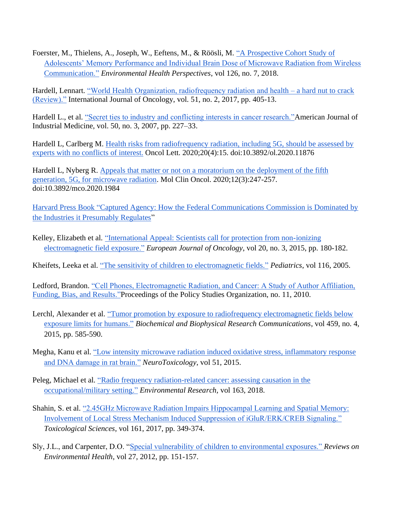Foerster, M., Thielens, A., Joseph, W., Eeftens, M., & Röösli, M. ["A Prospective Cohort Study of](https://ehp.niehs.nih.gov/doi/10.1289/EHP2427)  [Adolescents' Memory Performance and Individual Brain Dose of Microwave Radiation from Wireless](https://ehp.niehs.nih.gov/doi/10.1289/EHP2427)  [Communication.](https://ehp.niehs.nih.gov/doi/10.1289/EHP2427)" *Environmental Health Perspectives*, vol 126, no. 7, 2018.

Hardell, Lennart. ["World Health Organization, radiofrequency radiation and health –](https://www.spandidos-publications.com/10.3892/ijo.2017.4046) a hard nut to crack [\(Review\)."](https://www.spandidos-publications.com/10.3892/ijo.2017.4046) International Journal of Oncology, vol. 51, no. 2, 2017, pp. 405-13.

Hardell L., et al. ["Secret ties to industry and conflicting interests in cancer research."A](http://mobilfunk-debatte.de/pdf/Mobilfunk_Politik/Hardellsecret_ties.pdf)merican Journal of Industrial Medicine, vol. 50, no. 3, 2007, pp. 227–33.

Hardell L, Carlberg M. [Health risks from radiofrequency radiation, including 5G, should be assessed by](https://www.ncbi.nlm.nih.gov/pmc/articles/PMC7405337/?fbclid=IwAR1RzQ9Icryjda5grWZfnlNQQBlTw0zRc0mk1OcXz73zPHvL1NIFDcoBJ10)  [experts with no conflicts of interest.](https://www.ncbi.nlm.nih.gov/pmc/articles/PMC7405337/?fbclid=IwAR1RzQ9Icryjda5grWZfnlNQQBlTw0zRc0mk1OcXz73zPHvL1NIFDcoBJ10) Oncol Lett. 2020;20(4):15. doi:10.3892/ol.2020.11876

Hardell L, Nyberg R. [Appeals that matter or not on a moratorium on the deployment of the fifth](https://www.ncbi.nlm.nih.gov/pmc/articles/PMC7016513/)  [generation, 5G, for microwave radiation.](https://www.ncbi.nlm.nih.gov/pmc/articles/PMC7016513/) Mol Clin Oncol. 2020;12(3):247-257. doi:10.3892/mco.2020.1984

[Harvard Press Book "](https://www.thenation.com/article/how-big-wireless-made-us-think-that-cell-phones-are-safe-a-special-investigation/)[Captured Agency: How the Federal Communications Commission is Dominated by](https://ehtrust.org/key-issues/harvard-press-book-telecom-industry-influence-us-fcc-captured-agency/)  [the Industries it Presumably Regulates"](https://ehtrust.org/key-issues/harvard-press-book-telecom-industry-influence-us-fcc-captured-agency/)

Kelley, Elizabeth et al. ["International Appeal: Scientists call for protection from non-ionizing](https://www.researchgate.net/publication/298533689_International_Appeal_Scientists_call_for_protection_from_non-ionizing_electromagnetic_field_exposure)  [electromagnetic field exposure.](https://www.researchgate.net/publication/298533689_International_Appeal_Scientists_call_for_protection_from_non-ionizing_electromagnetic_field_exposure)" *European Journal of Oncology*, vol 20, no. 3, 2015, pp. 180-182.

Kheifets, Leeka et al. ["The sensitivity of children to electromagnetic fields."](https://pubmed.ncbi.nlm.nih.gov/16061584/) *Pediatrics*, vol 116, 2005.

Ledford, Brandon. ["Cell Phones, Electromagnetic Radiation, and Cancer: A Study of Author Affiliation,](http://www.ipsonet.org/proceedings/wp-content/uploads/2012/07/Proceedings-of-the-PSO-New-Series-no.-11.pdf)  [Funding, Bias, and Results."P](http://www.ipsonet.org/proceedings/wp-content/uploads/2012/07/Proceedings-of-the-PSO-New-Series-no.-11.pdf)roceedings of the Policy Studies Organization, no. 11, 2010.

Lerchl, Alexander et al. ["Tumor promotion by exposure to radiofrequency electromagnetic fields below](https://www.sciencedirect.com/science/article/pii/S0006291X15003988)  [exposure limits for humans.](https://www.sciencedirect.com/science/article/pii/S0006291X15003988)" *Biochemical and Biophysical Research Communications*, vol 459, no. 4, 2015, pp. 585-590.

Megha, Kanu et al. ["Low intensity microwave radiation induced oxidative stress, inflammatory response](https://pubmed.ncbi.nlm.nih.gov/26511840/)  [and DNA damage in rat brain."](https://pubmed.ncbi.nlm.nih.gov/26511840/) *[NeuroToxicology](https://pubmed.ncbi.nlm.nih.gov/26511840/)*, vol 51, 2015.

- Peleg, Michael et al. ["Radio frequency radiation-related cancer: assessing causation in the](https://www.ncbi.nlm.nih.gov/pubmed/29433020)  [occupational/military setting.](https://www.ncbi.nlm.nih.gov/pubmed/29433020)" *Environmental Research,* vol 163, 2018.
- Shahin, S. et al. ["2.45GHz Microwave Radiation Impairs Hippocampal Learning and Spatial Memory:](https://academic.oup.com/toxsci/article/161/2/349/4562799)  [Involvement of Local Stress Mechanism Induced Suppression of iGluR/ERK/CREB Signaling."](https://academic.oup.com/toxsci/article/161/2/349/4562799) *Toxicological Sciences*, vol 161, 2017, pp. 349-374.
- Sly, J.L., and Carpenter, D.O. ["Special vulnerability of children to environmental exposures."](https://pubmed.ncbi.nlm.nih.gov/23095179/) *Reviews on Environmental Health*, vol 27, 2012, pp. 151-157.